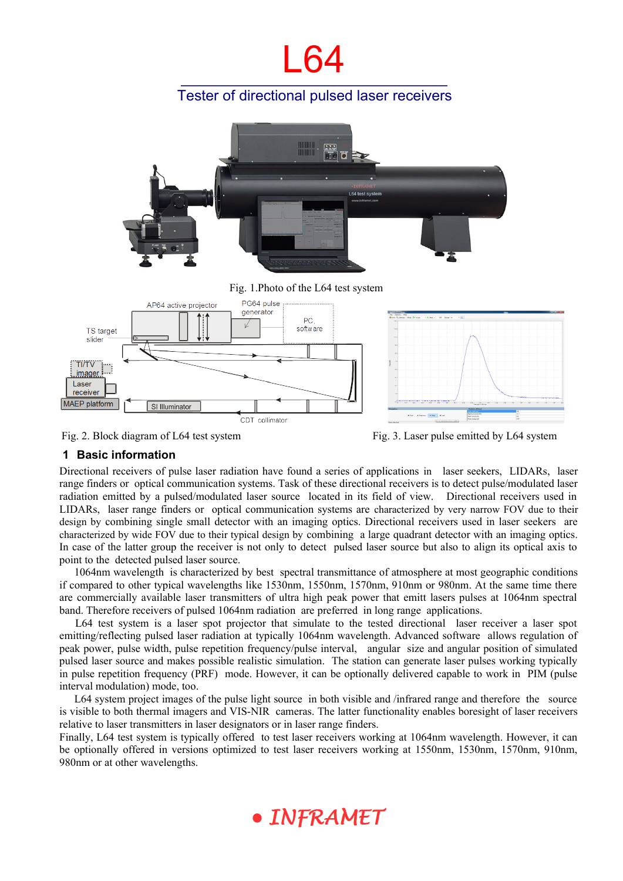# l 64

## Tester of directional pulsed laser receivers



Fig. 2. Block diagram of L64 test system Fig. 3. Laser pulse emitted by L64 system

### **1 Basic information**

Directional receivers of pulse laser radiation have found a series of applications in laser seekers, LIDARs, laser range finders or optical communication systems. Task of these directional receivers is to detect pulse/modulated laser radiation emitted by a pulsed/modulated laser source located in its field of view. Directional receivers used in LIDARs, laser range finders or optical communication systems are characterized by very narrow FOV due to their design by combining single small detector with an imaging optics. Directional receivers used in laser seekers are characterized by wide FOV due to their typical design by combining a large quadrant detector with an imaging optics. In case of the latter group the receiver is not only to detect pulsed laser source but also to align its optical axis to point to the detected pulsed laser source.

1064nm wavelength is characterized by best spectral transmittance of atmosphere at most geographic conditions if compared to other typical wavelengths like 1530nm, 1550nm, 1570nm, 910nm or 980nm. At the same time there are commercially available laser transmitters of ultra high peak power that emitt lasers pulses at 1064nm spectral band. Therefore receivers of pulsed 1064nm radiation are preferred in long range applications.

 L64 test system is a laser spot projector that simulate to the tested directional laser receiver a laser spot emitting/reflecting pulsed laser radiation at typically 1064nm wavelength. Advanced software allows regulation of peak power, pulse width, pulse repetition frequency/pulse interval, angular size and angular position of simulated pulsed laser source and makes possible realistic simulation. The station can generate laser pulses working typically in pulse repetition frequency (PRF) mode. However, it can be optionally delivered capable to work in PIM (pulse interval modulation) mode, too.

L64 system project images of the pulse light source in both visible and /infrared range and therefore the source is visible to both thermal imagers and VIS-NIR cameras. The latter functionality enables boresight of laser receivers relative to laser transmitters in laser designators or in laser range finders.

Finally, L64 test system is typically offered to test laser receivers working at 1064nm wavelength. However, it can be optionally offered in versions optimized to test laser receivers working at 1550nm, 1530nm, 1570nm, 910nm, 980nm or at other wavelengths.

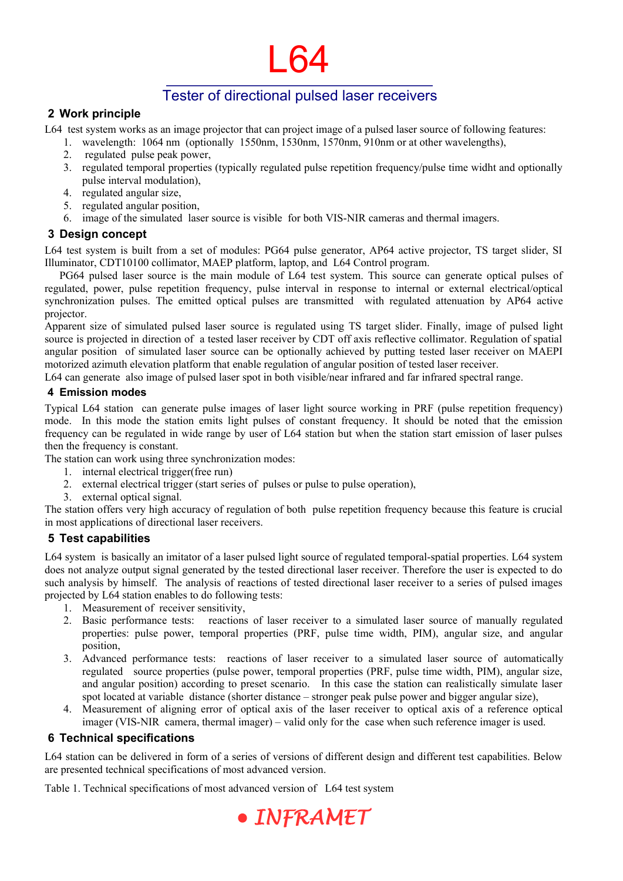# L64

## Tester of directional pulsed laser receivers

### **2 Work principle**

L64 test system works as an image projector that can project image of a pulsed laser source of following features:

- 1. wavelength: 1064 nm (optionally 1550nm, 1530nm, 1570nm, 910nm or at other wavelengths),
- 2. regulated pulse peak power,
- 3. regulated temporal properties (typically regulated pulse repetition frequency/pulse time widht and optionally pulse interval modulation),
- 4. regulated angular size,
- 5. regulated angular position,
- 6. image of the simulated laser source is visible for both VIS-NIR cameras and thermal imagers.

#### **3 Design concept**

L64 test system is built from a set of modules: PG64 pulse generator, AP64 active projector, TS target slider, SI Illuminator, CDT10100 collimator, MAEP platform, laptop, and L64 Control program.

PG64 pulsed laser source is the main module of L64 test system. This source can generate optical pulses of regulated, power, pulse repetition frequency, pulse interval in response to internal or external electrical/optical synchronization pulses. The emitted optical pulses are transmitted with regulated attenuation by AP64 active projector.

Apparent size of simulated pulsed laser source is regulated using TS target slider. Finally, image of pulsed light source is projected in direction of a tested laser receiver by CDT off axis reflective collimator. Regulation of spatial angular position of simulated laser source can be optionally achieved by putting tested laser receiver on MAEPI motorized azimuth elevation platform that enable regulation of angular position of tested laser receiver.

L64 can generate also image of pulsed laser spot in both visible/near infrared and far infrared spectral range.

#### **4 Emission modes**

Typical L64 station can generate pulse images of laser light source working in PRF (pulse repetition frequency) mode. In this mode the station emits light pulses of constant frequency. It should be noted that the emission frequency can be regulated in wide range by user of L64 station but when the station start emission of laser pulses then the frequency is constant.

The station can work using three synchronization modes:

- 1. internal electrical trigger(free run)
- 2. external electrical trigger (start series of pulses or pulse to pulse operation),
- 3. external optical signal.

The station offers very high accuracy of regulation of both pulse repetition frequency because this feature is crucial in most applications of directional laser receivers.

## **5 Test capabilities**

L64 system is basically an imitator of a laser pulsed light source of regulated temporal-spatial properties. L64 system does not analyze output signal generated by the tested directional laser receiver. Therefore the user is expected to do such analysis by himself. The analysis of reactions of tested directional laser receiver to a series of pulsed images projected by L64 station enables to do following tests:

- 1. Measurement of receiver sensitivity,
- 2. Basic performance tests: reactions of laser receiver to a simulated laser source of manually regulated properties: pulse power, temporal properties (PRF, pulse time width, PIM), angular size, and angular position,
- 3. Advanced performance tests: reactions of laser receiver to a simulated laser source of automatically regulated source properties (pulse power, temporal properties (PRF, pulse time width, PIM), angular size, and angular position) according to preset scenario. In this case the station can realistically simulate laser spot located at variable distance (shorter distance – stronger peak pulse power and bigger angular size),
- 4. Measurement of aligning error of optical axis of the laser receiver to optical axis of a reference optical imager (VIS-NIR camera, thermal imager) – valid only for the case when such reference imager is used.

### <span id="page-1-0"></span> **6 Technical specifications**

L64 station can be delivered in form of a series of versions of different design and different test capabilities. Below are presented technical specifications of most advanced version.

Table 1. Technical specifications of most advanced version of L64 test system

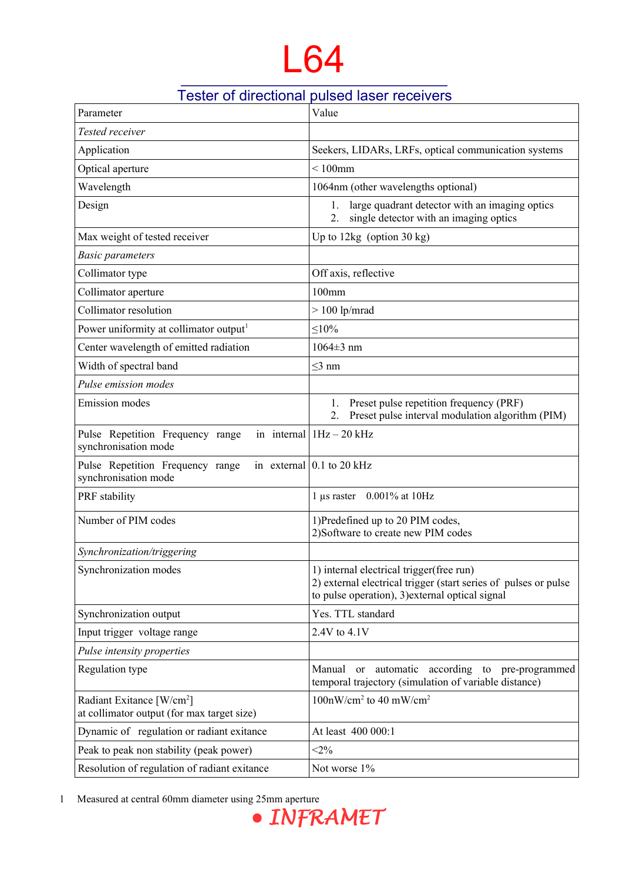# L64

## Tester of directional pulsed laser receivers

| Parameter                                                                           | Value                                                                                                                                                           |
|-------------------------------------------------------------------------------------|-----------------------------------------------------------------------------------------------------------------------------------------------------------------|
| Tested receiver                                                                     |                                                                                                                                                                 |
| Application                                                                         | Seekers, LIDARs, LRFs, optical communication systems                                                                                                            |
| Optical aperture                                                                    | $< 100$ mm                                                                                                                                                      |
| Wavelength                                                                          | 1064nm (other wavelengths optional)                                                                                                                             |
| Design                                                                              | large quadrant detector with an imaging optics<br>1.<br>single detector with an imaging optics<br>2.                                                            |
| Max weight of tested receiver                                                       | Up to $12\text{kg}$ (option 30 kg)                                                                                                                              |
| <b>Basic parameters</b>                                                             |                                                                                                                                                                 |
| Collimator type                                                                     | Off axis, reflective                                                                                                                                            |
| Collimator aperture                                                                 | 100mm                                                                                                                                                           |
| Collimator resolution                                                               | $> 100$ lp/mrad                                                                                                                                                 |
| Power uniformity at collimator output <sup>1</sup>                                  | $\leq 10\%$                                                                                                                                                     |
| Center wavelength of emitted radiation                                              | $1064 \pm 3$ nm                                                                                                                                                 |
| Width of spectral band                                                              | $\leq$ 3 nm                                                                                                                                                     |
| Pulse emission modes                                                                |                                                                                                                                                                 |
| <b>Emission</b> modes                                                               | Preset pulse repetition frequency (PRF)<br>1.<br>Preset pulse interval modulation algorithm (PIM)<br>2.                                                         |
| Pulse Repetition Frequency range<br>synchronisation mode                            | in internal   $1Hz - 20 kHz$                                                                                                                                    |
| Pulse Repetition Frequency range<br>synchronisation mode                            | in external $\vert$ 0.1 to 20 kHz                                                                                                                               |
| PRF stability                                                                       | 1 µs raster 0.001% at 10Hz                                                                                                                                      |
| Number of PIM codes                                                                 | 1)Predefined up to 20 PIM codes,<br>2) Software to create new PIM codes                                                                                         |
| Synchronization/triggering                                                          |                                                                                                                                                                 |
| Synchronization modes                                                               | 1) internal electrical trigger (free run)<br>2) external electrical trigger (start series of pulses or pulse<br>to pulse operation), 3) external optical signal |
| Synchronization output                                                              | Yes. TTL standard                                                                                                                                               |
| Input trigger voltage range                                                         | 2.4V to 4.1V                                                                                                                                                    |
| Pulse intensity properties                                                          |                                                                                                                                                                 |
| Regulation type                                                                     | Manual or automatic according to pre-programmed<br>temporal trajectory (simulation of variable distance)                                                        |
| Radiant Exitance [W/cm <sup>2</sup> ]<br>at collimator output (for max target size) | $100nW/cm2$ to 40 mW/cm <sup>2</sup>                                                                                                                            |
| Dynamic of regulation or radiant exitance                                           | At least 400 000:1                                                                                                                                              |
| Peak to peak non stability (peak power)                                             | $<$ 2%                                                                                                                                                          |
| Resolution of regulation of radiant exitance                                        | Not worse 1%                                                                                                                                                    |

<span id="page-2-0"></span>

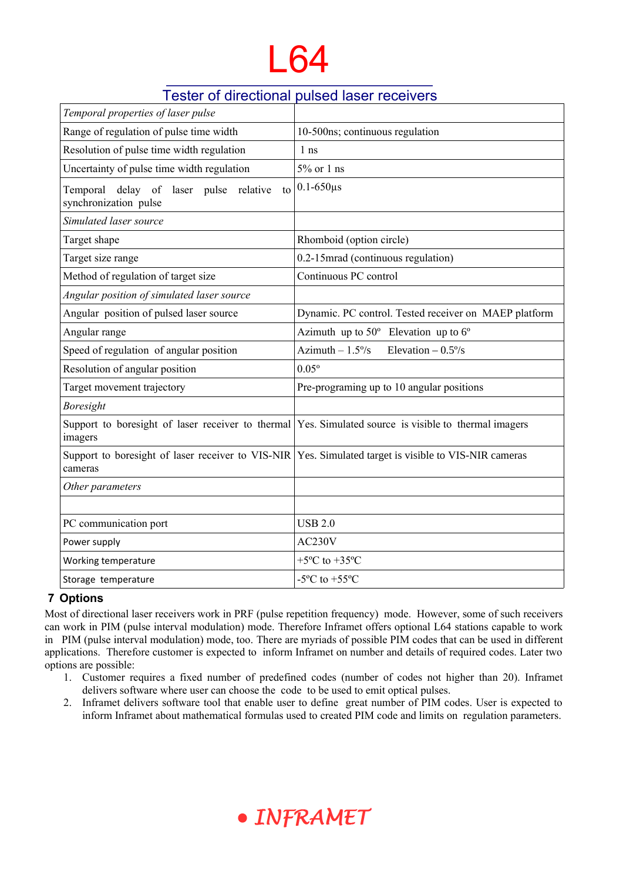## l 64

## Tester of directional pulsed laser receivers

| Temporal properties of laser pulse                                    |                                                                                                                |
|-----------------------------------------------------------------------|----------------------------------------------------------------------------------------------------------------|
| Range of regulation of pulse time width                               | 10-500ns; continuous regulation                                                                                |
| Resolution of pulse time width regulation                             | 1 <sub>ns</sub>                                                                                                |
| Uncertainty of pulse time width regulation                            | $5\%$ or 1 ns                                                                                                  |
| Temporal delay of laser pulse relative<br>to<br>synchronization pulse | $0.1 - 650 \mu s$                                                                                              |
| Simulated laser source                                                |                                                                                                                |
| Target shape                                                          | Rhomboid (option circle)                                                                                       |
| Target size range                                                     | 0.2-15mrad (continuous regulation)                                                                             |
| Method of regulation of target size                                   | Continuous PC control                                                                                          |
| Angular position of simulated laser source                            |                                                                                                                |
| Angular position of pulsed laser source                               | Dynamic. PC control. Tested receiver on MAEP platform                                                          |
| Angular range                                                         | Azimuth up to $50^{\circ}$ Elevation up to $6^{\circ}$                                                         |
| Speed of regulation of angular position                               | Azimuth $-1.5\%$<br>Elevation $-0.5\%$                                                                         |
| Resolution of angular position                                        | $0.05^{\circ}$                                                                                                 |
| Target movement trajectory                                            | Pre-programing up to 10 angular positions                                                                      |
| <b>Boresight</b>                                                      |                                                                                                                |
| imagers                                                               | Support to boresight of laser receiver to thermal $\text{Yes. Simulated source}$ is visible to thermal imagers |
| cameras                                                               | Support to boresight of laser receiver to VIS-NIR Yes. Simulated target is visible to VIS-NIR cameras          |
| Other parameters                                                      |                                                                                                                |
|                                                                       |                                                                                                                |
| PC communication port                                                 | <b>USB 2.0</b>                                                                                                 |
| Power supply                                                          | AC230V                                                                                                         |
| Working temperature                                                   | $+5$ °C to $+35$ °C                                                                                            |
| Storage temperature                                                   | -5 $\rm{^{\circ}C}$ to +55 $\rm{^{\circ}C}$                                                                    |

### **7 Options**

Most of directional laser receivers work in PRF (pulse repetition frequency) mode. However, some of such receivers can work in PIM (pulse interval modulation) mode. Therefore Inframet offers optional L64 stations capable to work in PIM (pulse interval modulation) mode, too. There are myriads of possible PIM codes that can be used in different applications. Therefore customer is expected to inform Inframet on number and details of required codes. Later two options are possible:

- 1. Customer requires a fixed number of predefined codes (number of codes not higher than 20). Inframet delivers software where user can choose the code to be used to emit optical pulses.
- 2. Inframet delivers software tool that enable user to define great number of PIM codes. User is expected to inform Inframet about mathematical formulas used to created PIM code and limits on regulation parameters.

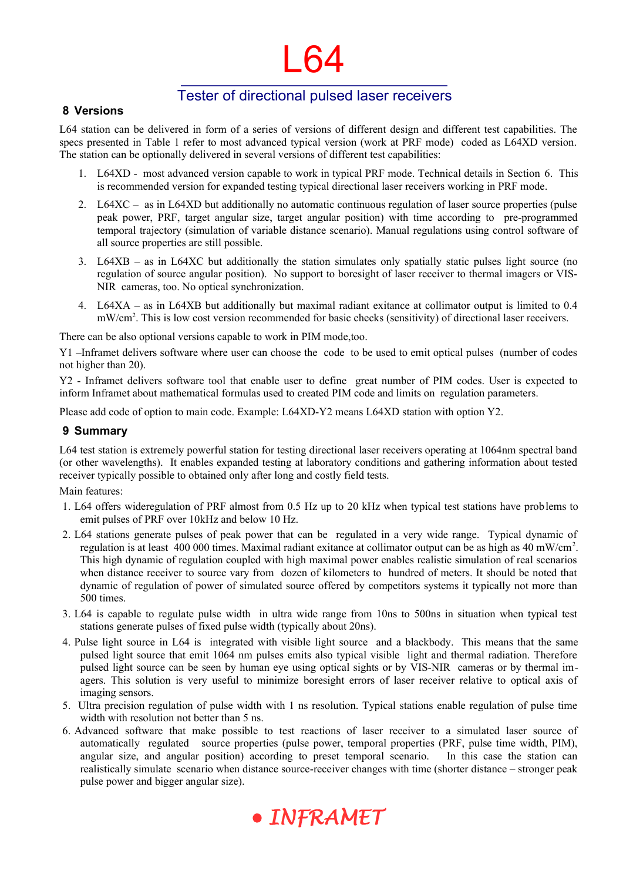# l 64

## Tester of directional pulsed laser receivers

#### **8 Versions**

L64 station can be delivered in form of a series of versions of different design and different test capabilities. The specs presented in Table 1 refer to most advanced typical version (work at PRF mode) coded as L64XD version. The station can be optionally delivered in several versions of different test capabilities:

- 1. L64XD most advanced version capable to work in typical PRF mode. Technical details in Section [6.](#page-1-0) This is recommended version for expanded testing typical directional laser receivers working in PRF mode.
- 2. L64XC as in L64XD but additionally no automatic continuous regulation of laser source properties (pulse peak power, PRF, target angular size, target angular position) with time according to pre-programmed temporal trajectory (simulation of variable distance scenario). Manual regulations using control software of all source properties are still possible.
- 3. L64XB as in L64XC but additionally the station simulates only spatially static pulses light source (no regulation of source angular position). No support to boresight of laser receiver to thermal imagers or VIS-NIR cameras, too. No optical synchronization.
- 4. L64XA as in L64XB but additionally but maximal radiant exitance at collimator output is limited to 0.4 mW/cm<sup>2</sup>. This is low cost version recommended for basic checks (sensitivity) of directional laser receivers.

There can be also optional versions capable to work in PIM mode,too.

Y1 –Inframet delivers software where user can choose the code to be used to emit optical pulses (number of codes not higher than 20).

Y2 - Inframet delivers software tool that enable user to define great number of PIM codes. User is expected to inform Inframet about mathematical formulas used to created PIM code and limits on regulation parameters.

Please add code of option to main code. Example: L64XD-Y2 means L64XD station with option Y2.

#### **9 Summary**

L64 test station is extremely powerful station for testing directional laser receivers operating at 1064nm spectral band (or other wavelengths). It enables expanded testing at laboratory conditions and gathering information about tested receiver typically possible to obtained only after long and costly field tests.

#### Main features:

- 1. L64 offers wideregulation of PRF almost from 0.5 Hz up to 20 kHz when typical test stations have problems to emit pulses of PRF over 10kHz and below 10 Hz.
- 2. L64 stations generate pulses of peak power that can be regulated in a very wide range. Typical dynamic of regulation is at least 400 000 times. Maximal radiant exitance at collimator output can be as high as 40 mW/cm<sup>2</sup>. This high dynamic of regulation coupled with high maximal power enables realistic simulation of real scenarios when distance receiver to source vary from dozen of kilometers to hundred of meters. It should be noted that dynamic of regulation of power of simulated source offered by competitors systems it typically not more than 500 times.
- 3. L64 is capable to regulate pulse width in ultra wide range from 10ns to 500ns in situation when typical test stations generate pulses of fixed pulse width (typically about 20ns).
- 4. Pulse light source in L64 is integrated with visible light source and a blackbody. This means that the same pulsed light source that emit 1064 nm pulses emits also typical visible light and thermal radiation. Therefore pulsed light source can be seen by human eye using optical sights or by VIS-NIR cameras or by thermal imagers. This solution is very useful to minimize boresight errors of laser receiver relative to optical axis of imaging sensors.
- 5. Ultra precision regulation of pulse width with 1 ns resolution. Typical stations enable regulation of pulse time width with resolution not better than 5 ns.
- 6. Advanced software that make possible to test reactions of laser receiver to a simulated laser source of automatically regulated source properties (pulse power, temporal properties (PRF, pulse time width, PIM), angular size, and angular position) according to preset temporal scenario. In this case the station can realistically simulate scenario when distance source-receiver changes with time (shorter distance – stronger peak pulse power and bigger angular size).